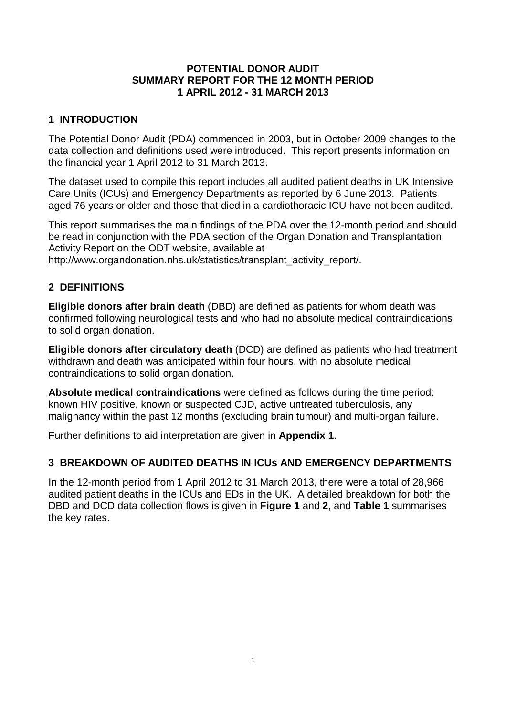## **POTENTIAL DONOR AUDIT SUMMARY REPORT FOR THE 12 MONTH PERIOD 1 APRIL 2012 - 31 MARCH 2013**

## **1 INTRODUCTION**

The Potential Donor Audit (PDA) commenced in 2003, but in October 2009 changes to the data collection and definitions used were introduced. This report presents information on the financial year 1 April 2012 to 31 March 2013.

The dataset used to compile this report includes all audited patient deaths in UK Intensive Care Units (ICUs) and Emergency Departments as reported by 6 June 2013. Patients aged 76 years or older and those that died in a cardiothoracic ICU have not been audited.

This report summarises the main findings of the PDA over the 12-month period and should be read in conjunction with the PDA section of the Organ Donation and Transplantation Activity Report on the ODT website, available at [http://www.organdonation.nhs.uk/statistics/transplant\\_activity\\_report/.](http://www.organdonation.nhs.uk/statistics/transplant_activity_report/)

## **2 DEFINITIONS**

**Eligible donors after brain death** (DBD) are defined as patients for whom death was confirmed following neurological tests and who had no absolute medical contraindications to solid organ donation.

**Eligible donors after circulatory death** (DCD) are defined as patients who had treatment withdrawn and death was anticipated within four hours, with no absolute medical contraindications to solid organ donation.

**Absolute medical contraindications** were defined as follows during the time period: known HIV positive, known or suspected CJD, active untreated tuberculosis, any malignancy within the past 12 months (excluding brain tumour) and multi-organ failure.

Further definitions to aid interpretation are given in **Appendix 1**.

## **3 BREAKDOWN OF AUDITED DEATHS IN ICUs AND EMERGENCY DEPARTMENTS**

In the 12-month period from 1 April 2012 to 31 March 2013, there were a total of 28,966 audited patient deaths in the ICUs and EDs in the UK. A detailed breakdown for both the DBD and DCD data collection flows is given in **Figure 1** and **2**, and **Table 1** summarises the key rates.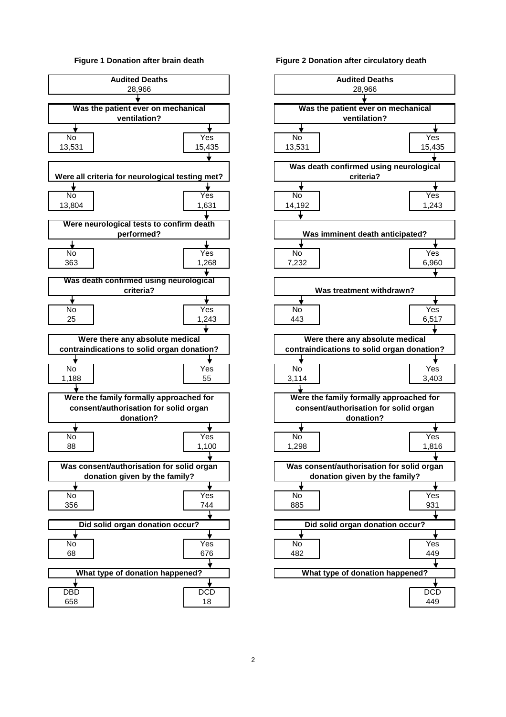#### **Figure 1 Donation after brain death**



#### **Figure 2 Donation after circulatory death**

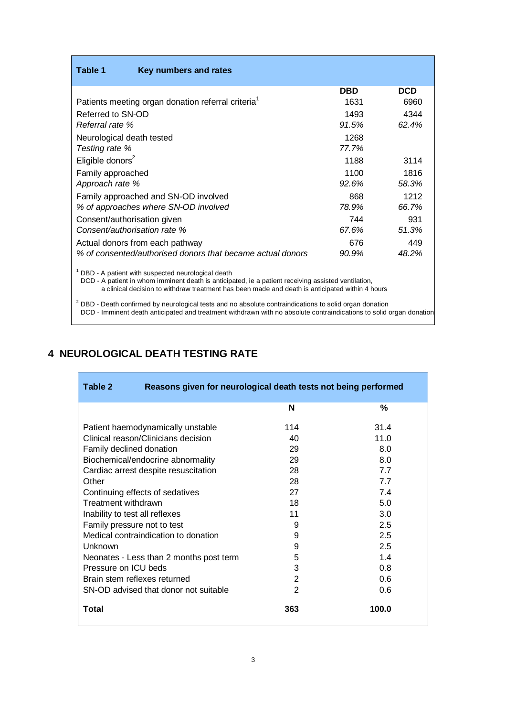| Table 1                      | Key numbers and rates                                                                                                                                    |            |       |
|------------------------------|----------------------------------------------------------------------------------------------------------------------------------------------------------|------------|-------|
|                              |                                                                                                                                                          | <b>DBD</b> | DCD   |
|                              | Patients meeting organ donation referral criteria <sup>1</sup>                                                                                           | 1631       | 6960  |
| Referred to SN-OD            |                                                                                                                                                          | 1493       | 4344  |
| Referral rate %              |                                                                                                                                                          | 91.5%      | 62.4% |
| Neurological death tested    |                                                                                                                                                          | 1268       |       |
| Testing rate %               |                                                                                                                                                          | 77.7%      |       |
| Eligible donors <sup>2</sup> |                                                                                                                                                          | 1188       | 3114  |
| Family approached            |                                                                                                                                                          | 1100       | 1816  |
| Approach rate %              |                                                                                                                                                          | 92.6%      | 58.3% |
|                              | Family approached and SN-OD involved                                                                                                                     | 868        | 1212  |
|                              | % of approaches where SN-OD involved                                                                                                                     | 78.9%      | 66.7% |
| Consent/authorisation given  |                                                                                                                                                          | 744        | 931   |
|                              | Consent/authorisation rate %                                                                                                                             | 67.6%      | 51.3% |
|                              | Actual donors from each pathway                                                                                                                          | 676        | 449   |
|                              | % of consented/authorised donors that became actual donors                                                                                               | 90.9%      | 48.2% |
|                              | DBD - A patient with suspected neurological death<br>DCD - A patient in whom imminent death is anticipated, ie a patient receiving assisted ventilation, |            |       |

a clinical decision to withdraw treatment has been made and death is anticipated within 4 hours

 $^2$  DBD - Death confirmed by neurological tests and no absolute contraindications to solid organ donation <sup>2</sup> DCD - Imminent death anticipated and treatment withdrawn with no absolute contraindications to solid organ donation

# **4 NEUROLOGICAL DEATH TESTING RATE**

| Table 2<br>Reasons given for neurological death tests not being performed |                |       |  |  |  |
|---------------------------------------------------------------------------|----------------|-------|--|--|--|
|                                                                           | N              | %     |  |  |  |
| 114<br>31.4<br>Patient haemodynamically unstable                          |                |       |  |  |  |
| Clinical reason/Clinicians decision                                       | 40             | 11.0  |  |  |  |
| Family declined donation                                                  | 29             | 8.0   |  |  |  |
| Biochemical/endocrine abnormality                                         | 29             | 8.0   |  |  |  |
| Cardiac arrest despite resuscitation                                      | 28             | 7.7   |  |  |  |
| Other                                                                     | 28             | 77    |  |  |  |
| Continuing effects of sedatives                                           | 27             | 7.4   |  |  |  |
| Treatment withdrawn                                                       | 18             | 5.0   |  |  |  |
| Inability to test all reflexes                                            | 11             | 3.0   |  |  |  |
| Family pressure not to test                                               | 9              | 2.5   |  |  |  |
| Medical contraindication to donation                                      | 9              | 2.5   |  |  |  |
| Unknown                                                                   | 9              | 2.5   |  |  |  |
| Neonates - Less than 2 months post term                                   | 5              | 1.4   |  |  |  |
| Pressure on ICU beds                                                      | 3              | 0.8   |  |  |  |
| Brain stem reflexes returned                                              | 2              | 0.6   |  |  |  |
| SN-OD advised that donor not suitable                                     | $\overline{2}$ | 0.6   |  |  |  |
| Total                                                                     | 363            | 100.0 |  |  |  |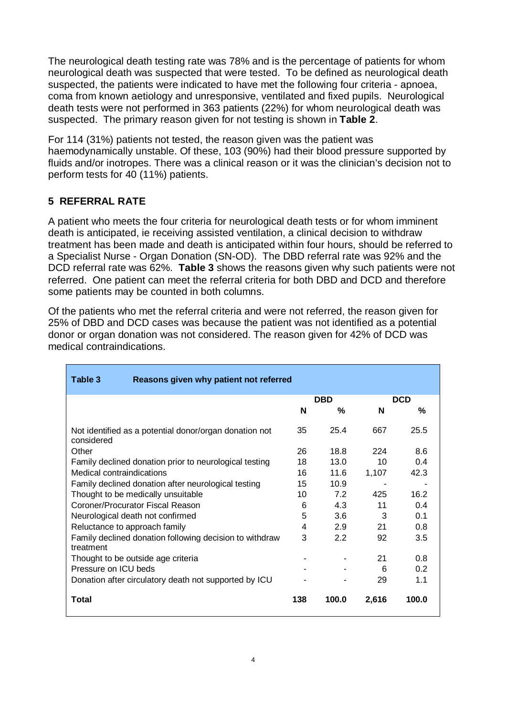The neurological death testing rate was 78% and is the percentage of patients for whom neurological death was suspected that were tested. To be defined as neurological death suspected, the patients were indicated to have met the following four criteria - apnoea, coma from known aetiology and unresponsive, ventilated and fixed pupils. Neurological death tests were not performed in 363 patients (22%) for whom neurological death was suspected. The primary reason given for not testing is shown in **Table 2**.

For 114 (31%) patients not tested, the reason given was the patient was haemodynamically unstable. Of these, 103 (90%) had their blood pressure supported by fluids and/or inotropes. There was a clinical reason or it was the clinician's decision not to perform tests for 40 (11%) patients.

# **5 REFERRAL RATE**

A patient who meets the four criteria for neurological death tests or for whom imminent death is anticipated, ie receiving assisted ventilation, a clinical decision to withdraw treatment has been made and death is anticipated within four hours, should be referred to a Specialist Nurse - Organ Donation (SN-OD). The DBD referral rate was 92% and the DCD referral rate was 62%. **Table 3** shows the reasons given why such patients were not referred. One patient can meet the referral criteria for both DBD and DCD and therefore some patients may be counted in both columns.

Of the patients who met the referral criteria and were not referred, the reason given for 25% of DBD and DCD cases was because the patient was not identified as a potential donor or organ donation was not considered. The reason given for 42% of DCD was medical contraindications.

| Table 3<br>Reasons given why patient not referred                    |                          |       |       |       |
|----------------------------------------------------------------------|--------------------------|-------|-------|-------|
|                                                                      | <b>DCD</b><br><b>DBD</b> |       |       |       |
|                                                                      | N                        | %     | N     | %     |
| Not identified as a potential donor/organ donation not<br>considered | 35                       | 25.4  | 667   | 25.5  |
| Other                                                                | 26                       | 18.8  | 224   | 8.6   |
| Family declined donation prior to neurological testing               | 18                       | 13.0  | 10    | 0.4   |
| Medical contraindications                                            | 16                       | 11.6  | 1,107 | 42.3  |
| Family declined donation after neurological testing                  | 15                       | 10.9  |       |       |
| Thought to be medically unsuitable                                   |                          | 72    | 425   | 16.2  |
| Coroner/Procurator Fiscal Reason                                     |                          | 4.3   | 11    | 0.4   |
| Neurological death not confirmed                                     |                          | 3.6   | 3     | 0.1   |
| Reluctance to approach family                                        |                          | 2.9   | 21    | 0.8   |
| Family declined donation following decision to withdraw<br>treatment | 3                        | 2.2   | 92    | 3.5   |
| Thought to be outside age criteria                                   |                          |       | 21    | 0.8   |
| Pressure on ICU beds                                                 |                          |       | 6     | 0.2   |
| Donation after circulatory death not supported by ICU                |                          |       | 29    | 1.1   |
| Total                                                                | 138                      | 100.0 | 2,616 | 100.0 |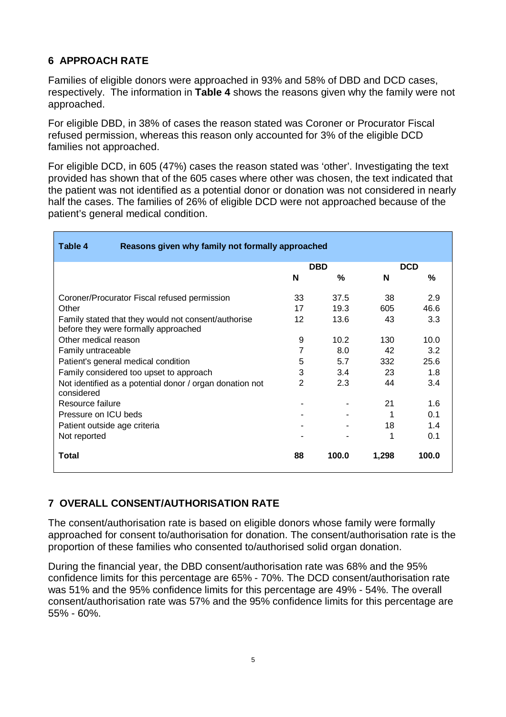# **6 APPROACH RATE**

Families of eligible donors were approached in 93% and 58% of DBD and DCD cases, respectively. The information in **Table 4** shows the reasons given why the family were not approached.

For eligible DBD, in 38% of cases the reason stated was Coroner or Procurator Fiscal refused permission, whereas this reason only accounted for 3% of the eligible DCD families not approached.

For eligible DCD, in 605 (47%) cases the reason stated was 'other'. Investigating the text provided has shown that of the 605 cases where other was chosen, the text indicated that the patient was not identified as a potential donor or donation was not considered in nearly half the cases. The families of 26% of eligible DCD were not approached because of the patient's general medical condition.

| Reasons given why family not formally approached<br>Table 4                                 |                |                   |            |       |
|---------------------------------------------------------------------------------------------|----------------|-------------------|------------|-------|
|                                                                                             | <b>DBD</b>     |                   | <b>DCD</b> |       |
|                                                                                             | N              | %                 | N          | ℅     |
| Coroner/Procurator Fiscal refused permission                                                | 33             | 37.5              | 38         | 2.9   |
| Other                                                                                       | 17             | 19.3              | 605        | 46.6  |
| Family stated that they would not consent/authorise<br>before they were formally approached | 12             | 13.6              | 43         | 3.3   |
| Other medical reason                                                                        | 9              | 10.2 <sub>1</sub> | 130        | 10.0  |
| Family untraceable                                                                          | 7              | 8.0               | 42         | 3.2   |
| Patient's general medical condition                                                         | 5              | 5.7               | 332        | 25.6  |
| Family considered too upset to approach                                                     | 3              | 3.4               | 23         | 1.8   |
| Not identified as a potential donor / organ donation not<br>considered                      | $\overline{2}$ | 2.3               | 44         | 3.4   |
| Resource failure                                                                            |                |                   | 21         | 1.6   |
| Pressure on ICU beds                                                                        |                |                   | 1          | 0.1   |
| Patient outside age criteria                                                                |                |                   | 18         | 1.4   |
| Not reported                                                                                |                |                   | 1          | 0.1   |
| Total                                                                                       | 88             | 100.0             | 1,298      | 100.0 |

# **7 OVERALL CONSENT/AUTHORISATION RATE**

The consent/authorisation rate is based on eligible donors whose family were formally approached for consent to/authorisation for donation. The consent/authorisation rate is the proportion of these families who consented to/authorised solid organ donation.

During the financial year, the DBD consent/authorisation rate was 68% and the 95% confidence limits for this percentage are 65% - 70%. The DCD consent/authorisation rate was 51% and the 95% confidence limits for this percentage are 49% - 54%. The overall consent/authorisation rate was 57% and the 95% confidence limits for this percentage are 55% - 60%.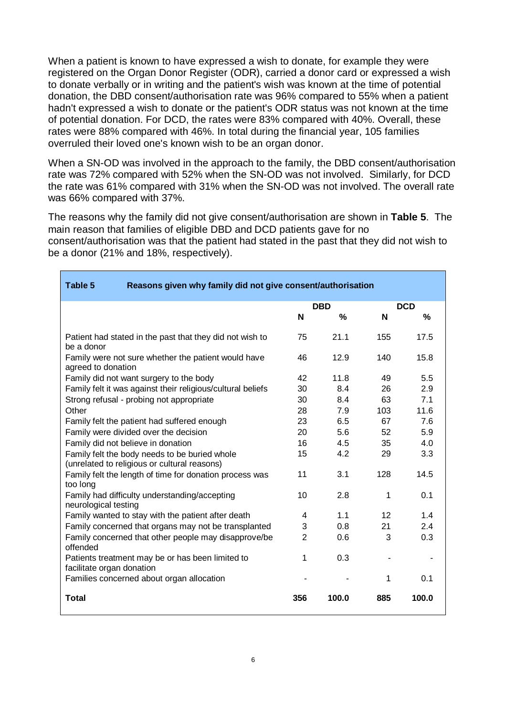When a patient is known to have expressed a wish to donate, for example they were registered on the Organ Donor Register (ODR), carried a donor card or expressed a wish to donate verbally or in writing and the patient's wish was known at the time of potential donation, the DBD consent/authorisation rate was 96% compared to 55% when a patient hadn't expressed a wish to donate or the patient's ODR status was not known at the time of potential donation. For DCD, the rates were 83% compared with 40%. Overall, these rates were 88% compared with 46%. In total during the financial year, 105 families overruled their loved one's known wish to be an organ donor.

When a SN-OD was involved in the approach to the family, the DBD consent/authorisation rate was 72% compared with 52% when the SN-OD was not involved. Similarly, for DCD the rate was 61% compared with 31% when the SN-OD was not involved. The overall rate was 66% compared with 37%.

The reasons why the family did not give consent/authorisation are shown in **Table 5**. The main reason that families of eligible DBD and DCD patients gave for no consent/authorisation was that the patient had stated in the past that they did not wish to be a donor (21% and 18%, respectively).

| Table 5<br>Reasons given why family did not give consent/authorisation                        |                |       |            |       |
|-----------------------------------------------------------------------------------------------|----------------|-------|------------|-------|
|                                                                                               | <b>DBD</b>     |       | <b>DCD</b> |       |
|                                                                                               | N              | %     | N          | %     |
| Patient had stated in the past that they did not wish to<br>be a donor                        | 75             | 21.1  | 155        | 17.5  |
| Family were not sure whether the patient would have<br>agreed to donation                     | 46             | 12.9  | 140        | 15.8  |
| Family did not want surgery to the body                                                       | 42             | 11.8  | 49         | 5.5   |
| Family felt it was against their religious/cultural beliefs                                   | 30             | 8.4   | 26         | 2.9   |
| Strong refusal - probing not appropriate                                                      | 30             | 8.4   | 63         | 7.1   |
| Other                                                                                         | 28             | 7.9   | 103        | 11.6  |
| Family felt the patient had suffered enough                                                   | 23             | 6.5   | 67         | 7.6   |
| Family were divided over the decision                                                         | 20             | 5.6   | 52         | 5.9   |
| Family did not believe in donation                                                            | 16             | 4.5   | 35         | 4.0   |
| Family felt the body needs to be buried whole<br>(unrelated to religious or cultural reasons) | 15             | 4.2   | 29         | 3.3   |
| Family felt the length of time for donation process was<br>too long                           | 11             | 3.1   | 128        | 14.5  |
| Family had difficulty understanding/accepting<br>neurological testing                         | 10             | 2.8   | 1          | 0.1   |
| Family wanted to stay with the patient after death                                            | 4              | 1.1   | 12         | 1.4   |
| Family concerned that organs may not be transplanted                                          | 3              | 0.8   | 21         | 2.4   |
| Family concerned that other people may disapprove/be<br>offended                              | $\overline{2}$ | 0.6   | 3          | 0.3   |
| Patients treatment may be or has been limited to<br>facilitate organ donation                 | 1              | 0.3   |            |       |
| Families concerned about organ allocation                                                     |                |       | 1          | 0.1   |
| <b>Total</b>                                                                                  | 356            | 100.0 | 885        | 100.0 |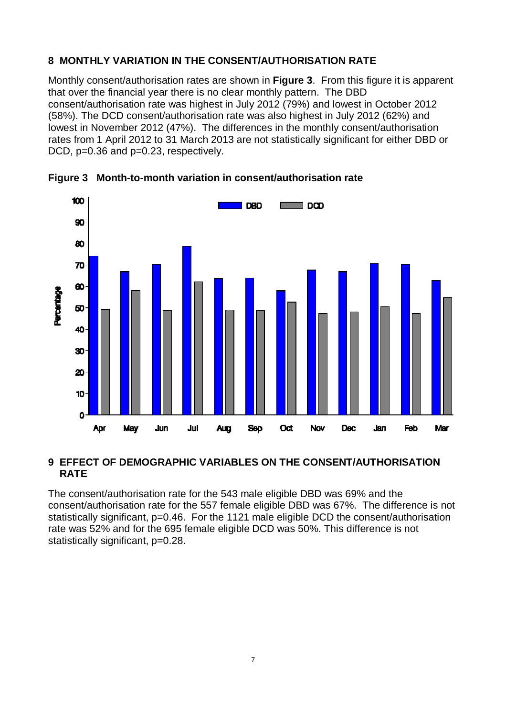# **8 MONTHLY VARIATION IN THE CONSENT/AUTHORISATION RATE**

Monthly consent/authorisation rates are shown in **Figure 3**. From this figure it is apparent that over the financial year there is no clear monthly pattern. The DBD consent/authorisation rate was highest in July 2012 (79%) and lowest in October 2012 (58%). The DCD consent/authorisation rate was also highest in July 2012 (62%) and lowest in November 2012 (47%). The differences in the monthly consent/authorisation rates from 1 April 2012 to 31 March 2013 are not statistically significant for either DBD or DCD, p=0.36 and p=0.23, respectively.



**Figure 3 Month-to-month variation in consent/authorisation rate** 

## **9 EFFECT OF DEMOGRAPHIC VARIABLES ON THE CONSENT/AUTHORISATION RATE**

The consent/authorisation rate for the 543 male eligible DBD was 69% and the consent/authorisation rate for the 557 female eligible DBD was 67%. The difference is not statistically significant, p=0.46. For the 1121 male eligible DCD the consent/authorisation rate was 52% and for the 695 female eligible DCD was 50%. This difference is not statistically significant, p=0.28.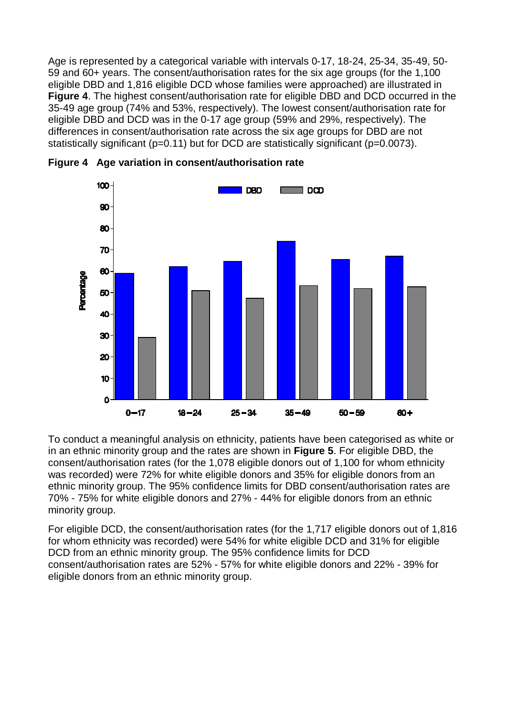Age is represented by a categorical variable with intervals 0-17, 18-24, 25-34, 35-49, 50- 59 and 60+ years. The consent/authorisation rates for the six age groups (for the 1,100 eligible DBD and 1,816 eligible DCD whose families were approached) are illustrated in **Figure 4**. The highest consent/authorisation rate for eligible DBD and DCD occurred in the 35-49 age group (74% and 53%, respectively). The lowest consent/authorisation rate for eligible DBD and DCD was in the 0-17 age group (59% and 29%, respectively). The differences in consent/authorisation rate across the six age groups for DBD are not statistically significant (p=0.11) but for DCD are statistically significant (p=0.0073).



**Figure 4 Age variation in consent/authorisation rate** 

To conduct a meaningful analysis on ethnicity, patients have been categorised as white or in an ethnic minority group and the rates are shown in **Figure 5**. For eligible DBD, the consent/authorisation rates (for the 1,078 eligible donors out of 1,100 for whom ethnicity was recorded) were 72% for white eligible donors and 35% for eligible donors from an ethnic minority group. The 95% confidence limits for DBD consent/authorisation rates are 70% - 75% for white eligible donors and 27% - 44% for eligible donors from an ethnic minority group.

For eligible DCD, the consent/authorisation rates (for the 1,717 eligible donors out of 1,816 for whom ethnicity was recorded) were 54% for white eligible DCD and 31% for eligible DCD from an ethnic minority group. The 95% confidence limits for DCD consent/authorisation rates are 52% - 57% for white eligible donors and 22% - 39% for eligible donors from an ethnic minority group.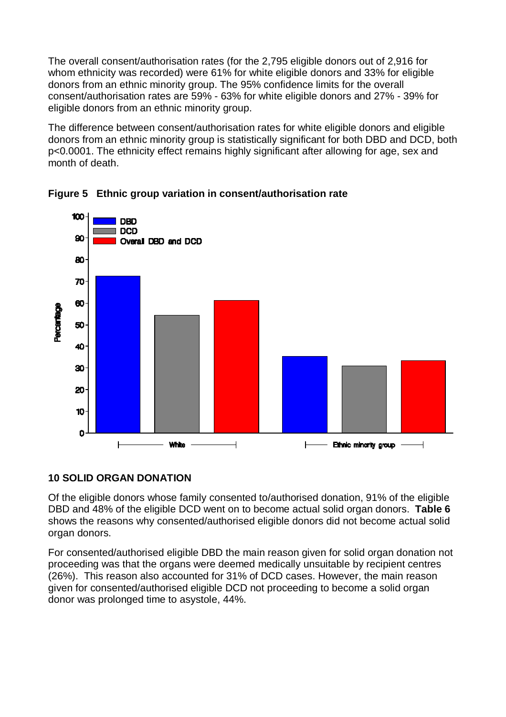The overall consent/authorisation rates (for the 2,795 eligible donors out of 2,916 for whom ethnicity was recorded) were 61% for white eligible donors and 33% for eligible donors from an ethnic minority group. The 95% confidence limits for the overall consent/authorisation rates are 59% - 63% for white eligible donors and 27% - 39% for eligible donors from an ethnic minority group.

The difference between consent/authorisation rates for white eligible donors and eligible donors from an ethnic minority group is statistically significant for both DBD and DCD, both p<0.0001. The ethnicity effect remains highly significant after allowing for age, sex and month of death.





# **10 SOLID ORGAN DONATION**

Of the eligible donors whose family consented to/authorised donation, 91% of the eligible DBD and 48% of the eligible DCD went on to become actual solid organ donors. **Table 6** shows the reasons why consented/authorised eligible donors did not become actual solid organ donors.

For consented/authorised eligible DBD the main reason given for solid organ donation not proceeding was that the organs were deemed medically unsuitable by recipient centres (26%). This reason also accounted for 31% of DCD cases. However, the main reason given for consented/authorised eligible DCD not proceeding to become a solid organ donor was prolonged time to asystole, 44%.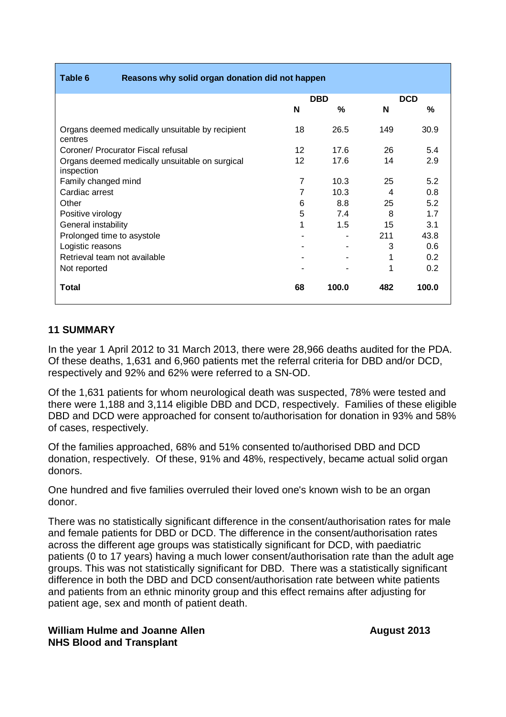| Table 6<br>Reasons why solid organ donation did not happen   |                |       |            |       |
|--------------------------------------------------------------|----------------|-------|------------|-------|
|                                                              | <b>DBD</b>     |       | <b>DCD</b> |       |
|                                                              | N              | %     | N          | %     |
| Organs deemed medically unsuitable by recipient<br>centres   | 18             | 26.5  | 149        | 30.9  |
| Coroner/ Procurator Fiscal refusal                           | 12             | 17.6  | 26         | 5.4   |
| Organs deemed medically unsuitable on surgical<br>inspection | 12             | 17.6  | 14         | 2.9   |
| Family changed mind                                          | $\overline{7}$ | 10.3  | 25         | 5.2   |
| Cardiac arrest                                               | 7              | 10.3  | 4          | 0.8   |
| Other                                                        | 6              | 8.8   | 25         | 5.2   |
| Positive virology                                            | 5              | 7.4   | 8          | 1.7   |
| General instability                                          | 1              | 1.5   | 15         | 3.1   |
| Prolonged time to asystole                                   |                |       | 211        | 43.8  |
| Logistic reasons                                             |                |       | 3          | 0.6   |
| Retrieval team not available                                 |                |       |            | 0.2   |
| Not reported                                                 |                |       | 1          | 0.2   |
| Total                                                        | 68             | 100.0 | 482        | 100.0 |

## **11 SUMMARY**

In the year 1 April 2012 to 31 March 2013, there were 28,966 deaths audited for the PDA. Of these deaths, 1,631 and 6,960 patients met the referral criteria for DBD and/or DCD, respectively and 92% and 62% were referred to a SN-OD.

Of the 1,631 patients for whom neurological death was suspected, 78% were tested and there were 1,188 and 3,114 eligible DBD and DCD, respectively. Families of these eligible DBD and DCD were approached for consent to/authorisation for donation in 93% and 58% of cases, respectively.

Of the families approached, 68% and 51% consented to/authorised DBD and DCD donation, respectively. Of these, 91% and 48%, respectively, became actual solid organ donors.

One hundred and five families overruled their loved one's known wish to be an organ donor.

There was no statistically significant difference in the consent/authorisation rates for male and female patients for DBD or DCD. The difference in the consent/authorisation rates across the different age groups was statistically significant for DCD, with paediatric patients (0 to 17 years) having a much lower consent/authorisation rate than the adult age groups. This was not statistically significant for DBD. There was a statistically significant difference in both the DBD and DCD consent/authorisation rate between white patients and patients from an ethnic minority group and this effect remains after adjusting for patient age, sex and month of patient death.

## **William Hulme and Joanne Allen August August** 2013 **NHS Blood and Transplant**